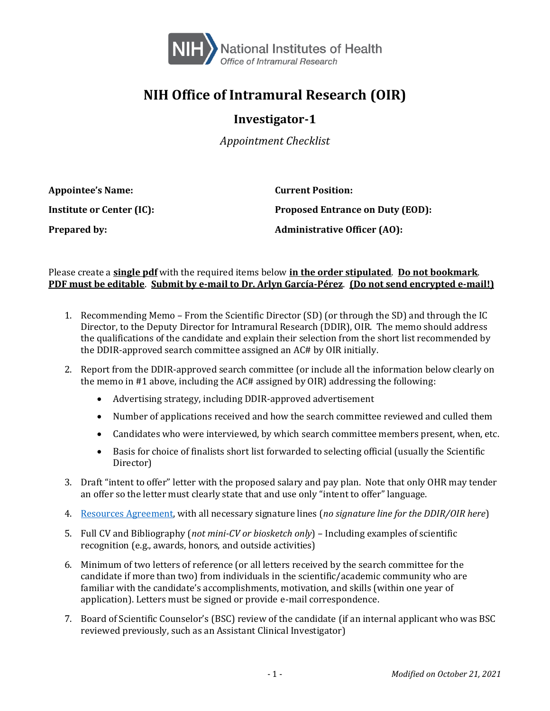

## **NIH Office of Intramural Research (OIR)**

## **Investigator-1**

*Appointment Checklist*

| <b>Appointee's Name:</b>  | <b>Current Position:</b>                |
|---------------------------|-----------------------------------------|
| Institute or Center (IC): | <b>Proposed Entrance on Duty (EOD):</b> |
| <b>Prepared by:</b>       | <b>Administrative Officer (AO):</b>     |

## Please create a **single pdf** with the required items below **in the order stipulated**. **Do not bookmark**. **PDF must be editable**. **Submit by e-mail to Dr. Arlyn García-Pérez**. **(Do not send encrypted e-mail!)**

- 1. Recommending Memo From the Scientific Director (SD) (or through the SD) and through the IC Director, to the Deputy Director for Intramural Research (DDIR), OIR. The memo should address the qualifications of the candidate and explain their selection from the short list recommended by the DDIR-approved search committee assigned an AC# by OIR initially.
- 2. Report from the DDIR-approved search committee (or include all the information below clearly on the memo in #1 above, including the AC# assigned by OIR) addressing the following:
	- Advertising strategy, including DDIR-approved advertisement
	- Number of applications received and how the search committee reviewed and culled them
	- Candidates who were interviewed, by which search committee members present, when, etc.
	- Basis for choice of finalists short list forwarded to selecting official (usually the Scientific Director)
- 3. Draft "intent to offer" letter with the proposed salary and pay plan. Note that only OHR may tender an offer so the letter must clearly state that and use only "intent to offer" language.
- 4. [Resources Agreement,](https://oir.nih.gov/sites/default/files/uploads/sourcebook/documents/personnel/oir-resource_agreement.pdf) with all necessary signature lines (*no signature line for the DDIR/OIR here*)
- 5. Full CV and Bibliography (*not mini-CV or biosketch only*) Including examples of scientific recognition (e.g., awards, honors, and outside activities)
- 6. Minimum of two letters of reference (or all letters received by the search committee for the candidate if more than two) from individuals in the scientific/academic community who are familiar with the candidate's accomplishments, motivation, and skills (within one year of application). Letters must be signed or provide e-mail correspondence.
- 7. Board of Scientific Counselor's (BSC) review of the candidate (if an internal applicant who was BSC reviewed previously, such as an Assistant Clinical Investigator)